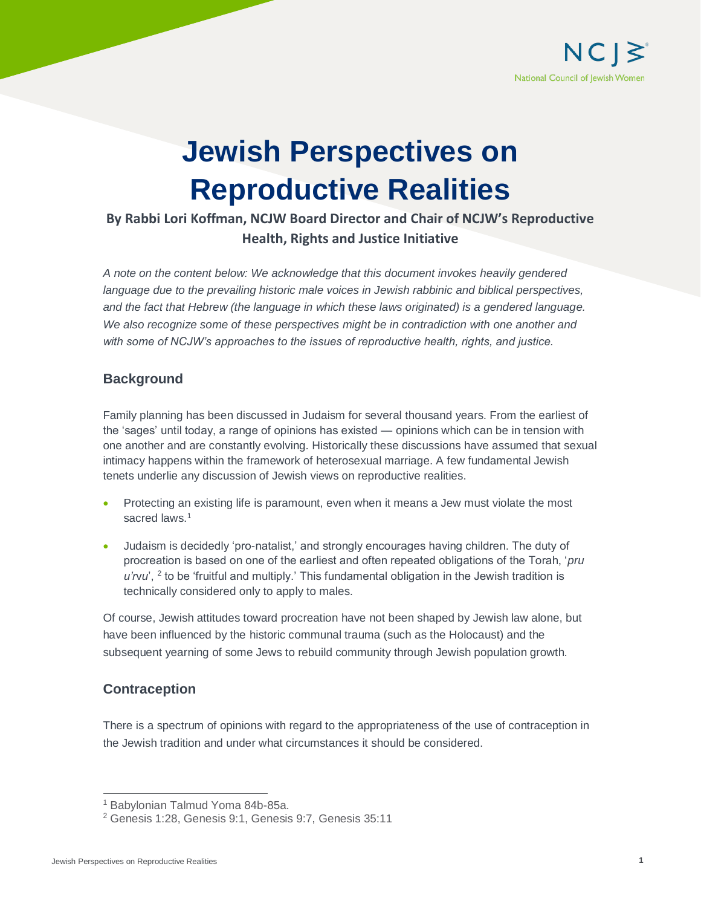

# **Jewish Perspectives on Reproductive Realities**

# **By Rabbi Lori Koffman, NCJW Board Director and Chair of NCJW's Reproductive Health, Rights and Justice Initiative**

*A note on the content below: We acknowledge that this document invokes heavily gendered*  language due to the prevailing historic male voices in Jewish rabbinic and biblical perspectives, *and the fact that Hebrew (the language in which these laws originated) is a gendered language. We also recognize some of these perspectives might be in contradiction with one another and with some of NCJW's approaches to the issues of reproductive health, rights, and justice.*

# **Background**

Family planning has been discussed in Judaism for several thousand years. From the earliest of the 'sages' until today, a range of opinions has existed — opinions which can be in tension with one another and are constantly evolving. Historically these discussions have assumed that sexual intimacy happens within the framework of heterosexual marriage. A few fundamental Jewish tenets underlie any discussion of Jewish views on reproductive realities.

- Protecting an existing life is paramount, even when it means a Jew must violate the most sacred laws.<sup>1</sup>
- Judaism is decidedly 'pro-natalist,' and strongly encourages having children. The duty of procreation is based on one of the earliest and often repeated obligations of the Torah, '*pru*  u'rvu', <sup>2</sup> to be 'fruitful and multiply.' This fundamental obligation in the Jewish tradition is technically considered only to apply to males.

Of course, Jewish attitudes toward procreation have not been shaped by Jewish law alone, but have been influenced by the historic communal trauma (such as the Holocaust) and the subsequent yearning of some Jews to rebuild community through Jewish population growth.

# **Contraception**

There is a spectrum of opinions with regard to the appropriateness of the use of contraception in the Jewish tradition and under what circumstances it should be considered.

 $\overline{a}$ <sup>1</sup> Babylonian Talmud Yoma 84b-85a.

<sup>2</sup> Genesis 1:28, Genesis 9:1, Genesis 9:7, Genesis 35:11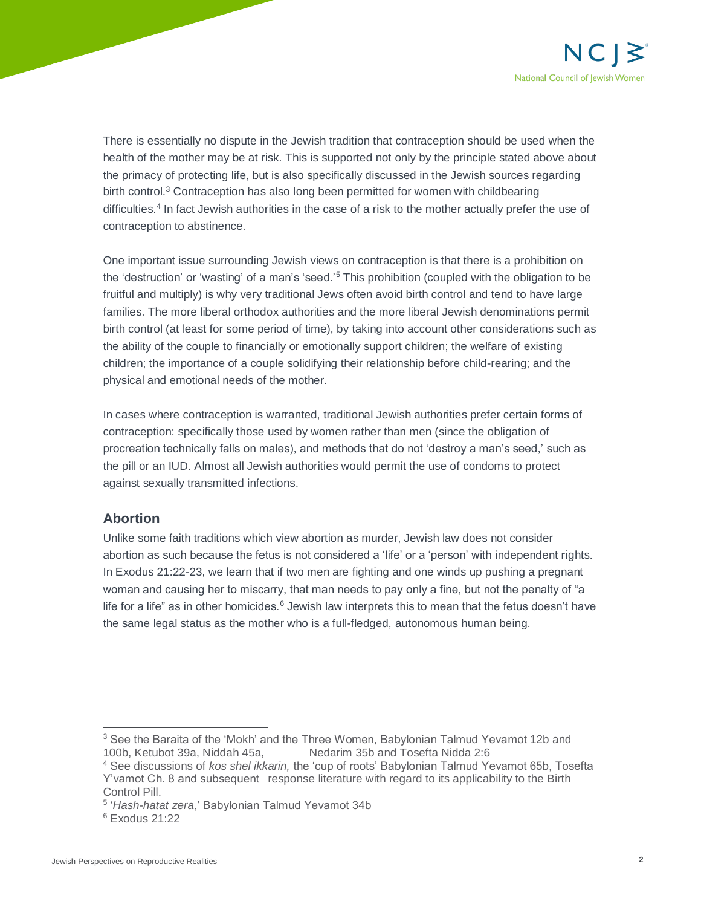

There is essentially no dispute in the Jewish tradition that contraception should be used when the health of the mother may be at risk. This is supported not only by the principle stated above about the primacy of protecting life, but is also specifically discussed in the Jewish sources regarding birth control.<sup>3</sup> Contraception has also long been permitted for women with childbearing difficulties.<sup>4</sup> In fact Jewish authorities in the case of a risk to the mother actually prefer the use of contraception to abstinence.

One important issue surrounding Jewish views on contraception is that there is a prohibition on the 'destruction' or 'wasting' of a man's 'seed.'<sup>5</sup> This prohibition (coupled with the obligation to be fruitful and multiply) is why very traditional Jews often avoid birth control and tend to have large families. The more liberal orthodox authorities and the more liberal Jewish denominations permit birth control (at least for some period of time), by taking into account other considerations such as the ability of the couple to financially or emotionally support children; the welfare of existing children; the importance of a couple solidifying their relationship before child-rearing; and the physical and emotional needs of the mother.

In cases where contraception is warranted, traditional Jewish authorities prefer certain forms of contraception: specifically those used by women rather than men (since the obligation of procreation technically falls on males), and methods that do not 'destroy a man's seed,' such as the pill or an IUD. Almost all Jewish authorities would permit the use of condoms to protect against sexually transmitted infections.

### **Abortion**

Unlike some faith traditions which view abortion as murder, Jewish law does not consider abortion as such because the fetus is not considered a 'life' or a 'person' with independent rights. In Exodus 21:22-23, we learn that if two men are fighting and one winds up pushing a pregnant woman and causing her to miscarry, that man needs to pay only a fine, but not the penalty of "a life for a life" as in other homicides. $6$  Jewish law interprets this to mean that the fetus doesn't have the same legal status as the mother who is a full-fledged, autonomous human being.

 $\overline{a}$ 

 $3$  See the Baraita of the 'Mokh' and the Three Women, Babylonian Talmud Yevamot 12b and 100b, Ketubot 39a, Niddah 45a, Nedarim 35b and Tosefta Nidda 2:6

<sup>4</sup> See discussions of *kos shel ikkarin,* the 'cup of roots' Babylonian Talmud Yevamot 65b, Tosefta Y'vamot Ch. 8 and subsequent response literature with regard to its applicability to the Birth Control Pill.

<sup>5</sup> '*Hash-hatat zera*,' Babylonian Talmud Yevamot 34b

<sup>6</sup> Exodus 21:22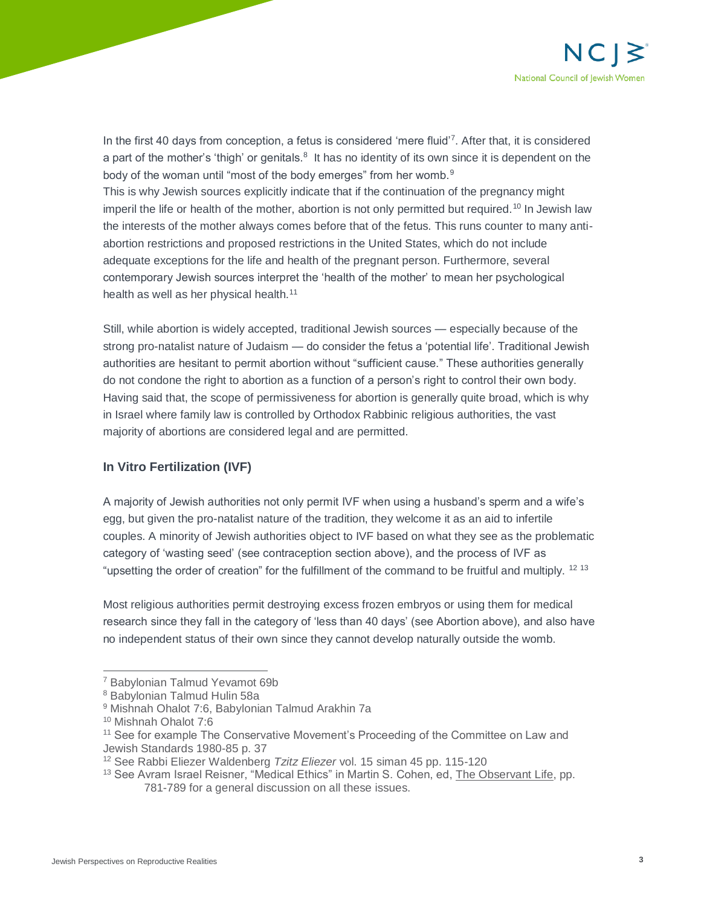

In the first 40 days from conception, a fetus is considered 'mere fluid'<sup>7</sup>. After that, it is considered a part of the mother's 'thigh' or genitals.<sup>8</sup> It has no identity of its own since it is dependent on the body of the woman until "most of the body emerges" from her womb.<sup>9</sup> This is why Jewish sources explicitly indicate that if the continuation of the pregnancy might imperil the life or health of the mother, abortion is not only permitted but required.<sup>10</sup> In Jewish law the interests of the mother always comes before that of the fetus. This runs counter to many antiabortion restrictions and proposed restrictions in the United States, which do not include adequate exceptions for the life and health of the pregnant person. Furthermore, several contemporary Jewish sources interpret the 'health of the mother' to mean her psychological health as well as her physical health.<sup>11</sup>

Still, while abortion is widely accepted, traditional Jewish sources — especially because of the strong pro-natalist nature of Judaism — do consider the fetus a 'potential life'. Traditional Jewish authorities are hesitant to permit abortion without "sufficient cause." These authorities generally do not condone the right to abortion as a function of a person's right to control their own body. Having said that, the scope of permissiveness for abortion is generally quite broad, which is why in Israel where family law is controlled by Orthodox Rabbinic religious authorities, the vast majority of abortions are considered legal and are permitted.

### **In Vitro Fertilization (IVF)**

A majority of Jewish authorities not only permit IVF when using a husband's sperm and a wife's egg, but given the pro-natalist nature of the tradition, they welcome it as an aid to infertile couples. A minority of Jewish authorities object to IVF based on what they see as the problematic category of 'wasting seed' (see contraception section above), and the process of IVF as "upsetting the order of creation" for the fulfillment of the command to be fruitful and multiply. <sup>12</sup> <sup>13</sup>

Most religious authorities permit destroying excess frozen embryos or using them for medical research since they fall in the category of 'less than 40 days' (see Abortion above), and also have no independent status of their own since they cannot develop naturally outside the womb.

 $\overline{a}$ 

<sup>7</sup> Babylonian Talmud Yevamot 69b

<sup>8</sup> Babylonian Talmud Hulin 58a

<sup>9</sup> Mishnah Ohalot 7:6, Babylonian Talmud Arakhin 7a

<sup>10</sup> Mishnah Ohalot 7:6

<sup>&</sup>lt;sup>11</sup> See for example The Conservative Movement's Proceeding of the Committee on Law and Jewish Standards 1980-85 p. 37

<sup>12</sup> See Rabbi Eliezer Waldenberg *Tzitz Eliezer* vol. 15 siman 45 pp. 115-120

<sup>&</sup>lt;sup>13</sup> See Avram Israel Reisner, "Medical Ethics" in Martin S. Cohen, ed, The Observant Life, pp. 781-789 for a general discussion on all these issues.